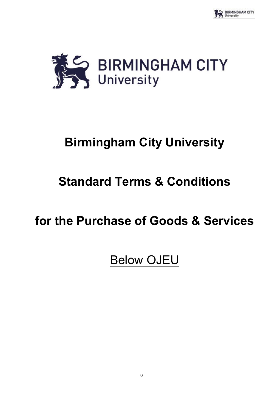

# **Birmingham City University**

# **Standard Terms & Conditions**

# **for the Purchase of Goods & Services**

# Below OJEU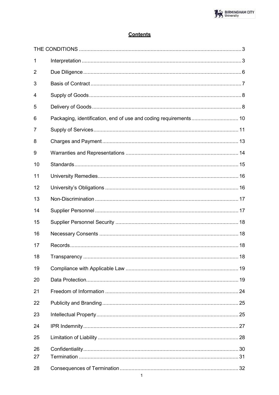# **Contents**

| $\mathbf{1}$ |                                                                  |  |
|--------------|------------------------------------------------------------------|--|
| 2            |                                                                  |  |
| 3            |                                                                  |  |
| 4            |                                                                  |  |
| 5            |                                                                  |  |
| 6            | Packaging, identification, end of use and coding requirements 10 |  |
| 7            |                                                                  |  |
| 8            |                                                                  |  |
| 9            |                                                                  |  |
| 10           |                                                                  |  |
| 11           |                                                                  |  |
| 12           |                                                                  |  |
| 13           |                                                                  |  |
| 14           |                                                                  |  |
| 15           |                                                                  |  |
| 16           |                                                                  |  |
| 17           |                                                                  |  |
| 18           |                                                                  |  |
| 19           |                                                                  |  |
| 20           |                                                                  |  |
| 21           |                                                                  |  |
| 22           |                                                                  |  |
| 23           |                                                                  |  |
| 24           |                                                                  |  |
| 25           |                                                                  |  |
| 26<br>27     |                                                                  |  |
| 28           |                                                                  |  |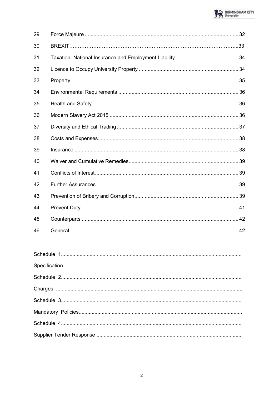| 29 |  |
|----|--|
| 30 |  |
| 31 |  |
| 32 |  |
| 33 |  |
| 34 |  |
| 35 |  |
| 36 |  |
| 37 |  |
| 38 |  |
| 39 |  |
| 40 |  |
| 41 |  |
| 42 |  |
| 43 |  |
| 44 |  |
| 45 |  |
| 46 |  |

<span id="page-2-0"></span>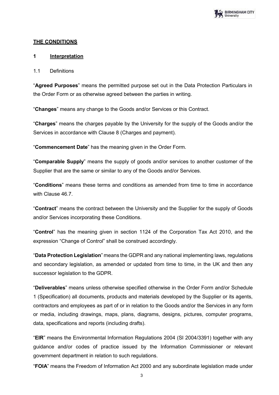

## **THE CONDITIONS**

## <span id="page-3-0"></span>**1 Interpretation**

#### 1.1 Definitions

"**Agreed Purposes**" means the permitted purpose set out in the Data Protection Particulars in the Order Form or as otherwise agreed between the parties in writing.

"**Changes**" means any change to the Goods and/or Services or this Contract.

"**Charges**" means the charges payable by the University for the supply of the Goods and/or the Services in accordance with Clause 8 (Charges and payment).

"**Commencement Date**" has the meaning given in the Order Form.

"**Comparable Supply**" means the supply of goods and/or services to another customer of the Supplier that are the same or similar to any of the Goods and/or Services.

"**Conditions**" means these terms and conditions as amended from time to time in accordance with Clause 46.7

"**Contract**" means the contract between the University and the Supplier for the supply of Goods and/or Services incorporating these Conditions.

"**Control**" has the meaning given in section 1124 of the Corporation Tax Act 2010, and the expression "Change of Control" shall be construed accordingly.

"**Data Protection Legislation**" means the GDPR and any national implementing laws, regulations and secondary legislation, as amended or updated from time to time, in the UK and then any successor legislation to the GDPR.

"**Deliverables**" means unless otherwise specified otherwise in the Order Form and/or Schedule 1 (Specification) all documents, products and materials developed by the Supplier or its agents, contractors and employees as part of or in relation to the Goods and/or the Services in any form or media, including drawings, maps, plans, diagrams, designs, pictures, computer programs, data, specifications and reports (including drafts).

"**EIR**" means the Environmental Information Regulations 2004 (SI 2004/3391) together with any guidance and/or codes of practice issued by the Information Commissioner or relevant government department in relation to such regulations.

"**FOIA**" means the Freedom of Information Act 2000 and any subordinate legislation made under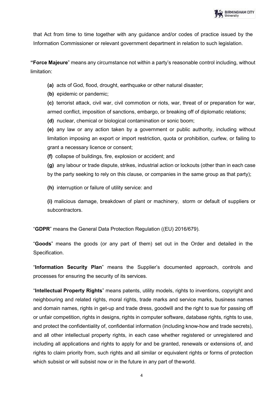that Act from time to time together with any guidance and/or codes of practice issued by the Information Commissioner or relevant government department in relation to such legislation.

**"Force Majeure**" means any circumstance not within a party's reasonable control including, without limitation:

**(a)** acts of God, flood, drought, earthquake or other natural disaster;

**(b)** epidemic or pandemic;

**(c)** terrorist attack, civil war, civil commotion or riots, war, threat of or preparation for war, armed conflict, imposition of sanctions, embargo, or breaking off of diplomatic relations;

**(d)** nuclear, chemical or biological contamination or sonic boom;

**(e)** any law or any action taken by a government or public authority, including without limitation imposing an export or import restriction, quota or prohibition, curfew, or failing to grant a necessary licence or consent;

**(f)** collapse of buildings, fire, explosion or accident; and

**(g)** any labour or trade dispute, strikes, industrial action or lockouts (other than in each case by the party seeking to rely on this clause, or companies in the same group as that party);

**(h)** interruption or failure of utility service: and

**(i)** malicious damage, breakdown of plant or machinery, storm or default of suppliers or subcontractors.

"**GDPR**" means the General Data Protection Regulation ((EU) 2016/679).

"**Goods**" means the goods (or any part of them) set out in the Order and detailed in the Specification.

"**Information Security Plan**" means the Supplier's documented approach, controls and processes for ensuring the security of its services.

"**Intellectual Property Rights**" means patents, utility models, rights to inventions, copyright and neighbouring and related rights, moral rights, trade marks and service marks, business names and domain names, rights in get-up and trade dress, goodwill and the right to sue for passing off or unfair competition, rights in designs, rights in computer software, database rights, rights to use, and protect the confidentiality of, confidential information (including know-how and trade secrets), and all other intellectual property rights, in each case whether registered or unregistered and including all applications and rights to apply for and be granted, renewals or extensions of, and rights to claim priority from, such rights and all similar or equivalent rights or forms of protection which subsist or will subsist now or in the future in any part of theworld.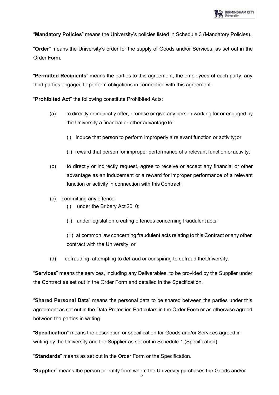"**Mandatory Policies**" means the University's policies listed in Schedule 3 (Mandatory Policies).

"**Order**" means the University's order for the supply of Goods and/or Services, as set out in the Order Form.

"**Permitted Recipients**" means the parties to this agreement, the employees of each party, any third parties engaged to perform obligations in connection with this agreement.

"**Prohibited Act**" the following constitute Prohibited Acts:

- (a) to directly or indirectly offer, promise or give any person working for or engaged by the University a financial or other advantage to:
	- (i) induce that person to perform improperly a relevant function or activity; or
	- (ii) reward that person for improper performance of a relevant function oractivity;
- (b) to directly or indirectly request, agree to receive or accept any financial or other advantage as an inducement or a reward for improper performance of a relevant function or activity in connection with this Contract;
- (c) committing any offence:
	- (i) under the Bribery Act 2010;
	- (ii) under legislation creating offences concerning fraudulent acts;

(iii) at common law concerning fraudulent acts relating to this Contract or any other contract with the University; or

(d) defrauding, attempting to defraud or conspiring to defraud theUniversity.

"**Services**" means the services, including any Deliverables, to be provided by the Supplier under the Contract as set out in the Order Form and detailed in the Specification.

"**Shared Personal Data**" means the personal data to be shared between the parties under this agreement as set out in the Data Protection Particulars in the Order Form or as otherwise agreed between the parties in writing.

"**Specification**" means the description or specification for Goods and/or Services agreed in writing by the University and the Supplier as set out in Schedule 1 (Specification).

"**Standards**" means as set out in the Order Form or the Specification.

"**Supplier**" means the person or entity from whom the University purchases the Goods and/or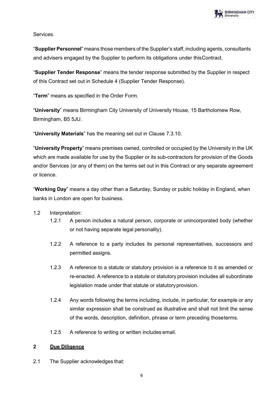

Services.

"**Supplier Personnel**" means those members of the Supplier's staff, including agents, consultants and advisers engaged by the Supplier to perform its obligations under thisContract.

"**Supplier Tender Response**" means the tender response submitted by the Supplier in respect of this Contract set out in Schedule 4 (Supplier Tender Response).

"**Term**" means as specified in the Order Form.

"**University**" means Birmingham City University of University House, 15 Bartholomew Row, Birmingham, B5 5JU.

"**University Materials**" has the meaning set out in Clause 7.3.10.

"**University Property**" means premises owned, controlled or occupied by the University in the UK which are made available for use by the Supplier or its sub-contractors for provision of the Goods and/or Services (or any of them) on the terms set out in this Contract or any separate agreement or licence.

"**Working Day**" means a day other than a Saturday, Sunday or public holiday in England, when banks in London are open for business.

## 1.2 Interpretation:

- 1.2.1 A person includes a natural person, corporate or unincorporated body (whether or not having separate legal personality).
- 1.2.2 A reference to a party includes its personal representatives, successors and permitted assigns.
- 1.2.3 A reference to a statute or statutory provision is a reference to it as amended or re-enacted. A reference to a statute or statutory provision includes all subordinate legislation made under that statute or statutoryprovision.
- 1.2.4 Any words following the terms including, include, in particular, for example or any similar expression shall be construed as illustrative and shall not limit the sense of the words, description, definition, phrase or term preceding thoseterms.
- 1.2.5 A reference to writing or written includes email.

#### <span id="page-6-0"></span>**2 Due Diligence**

2.1 The Supplier acknowledges that: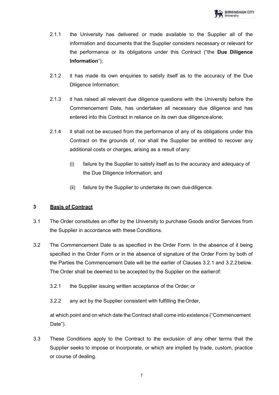- 2.1.1 the University has delivered or made available to the Supplier all of the information and documents that the Supplier considers necessary or relevant for the performance or its obligations under this Contract ("the **Due Diligence Information**");
- 2.1.2 it has made its own enquiries to satisfy itself as to the accuracy of the Due Diligence Information;
- 2.1.3 it has raised all relevant due diligence questions with the University before the Commencement Date, has undertaken all necessary due diligence and has entered into this Contract in reliance on its own due diligencealone;
- 2.1.4 it shall not be excused from the performance of any of its obligations under this Contract on the grounds of, nor shall the Supplier be entitled to recover any additional costs or charges, arising as a result of any:
	- (i) failure by the Supplier to satisfy itself as to the accuracy and adequacy of the Due Diligence Information; and
	- (ii) failure by the Supplier to undertake its own duediligence.

# <span id="page-7-0"></span>**3 Basis of Contract**

- 3.1 The Order constitutes an offer by the University to purchase Goods and/or Services from the Supplier in accordance with these Conditions.
- 3.2 The Commencement Date is as specified in the Order Form. In the absence of it being specified in the Order Form or in the absence of signature of the Order Form by both of the Parties the Commencement Date will be the earlier of Clauses 3.2.1 and 3.2.2below. The Order shall be deemed to be accepted by the Supplier on the earlierof:
	- 3.2.1 the Supplier issuing written acceptance of the Order; or
	- 3.2.2 any act by the Supplier consistent with fulfilling theOrder,

at which point and on which date the Contract shall come into existence ("Commencement Date").

3.3 These Conditions apply to the Contract to the exclusion of any other terms that the Supplier seeks to impose or incorporate, or which are implied by trade, custom, practice or course of dealing.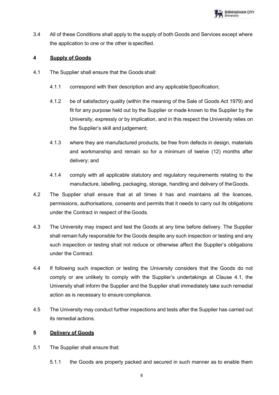

3.4 All of these Conditions shall apply to the supply of both Goods and Services except where the application to one or the other is specified.

# <span id="page-8-0"></span>**4 Supply of Goods**

- 4.1 The Supplier shall ensure that the Goods shall:
	- 4.1.1 correspond with their description and any applicableSpecification;
	- 4.1.2 be of satisfactory quality (within the meaning of the Sale of Goods Act 1979) and fit for any purpose held out by the Supplier or made known to the Supplier by the University, expressly or by implication, and in this respect the University relies on the Supplier's skill and judgement;
	- 4.1.3 where they are manufactured products, be free from defects in design, materials and workmanship and remain so for a minimum of twelve (12) months after delivery; and
	- 4.1.4 comply with all applicable statutory and regulatory requirements relating to the manufacture, labelling, packaging, storage, handling and delivery of theGoods.
- 4.2 The Supplier shall ensure that at all times it has and maintains all the licences, permissions, authorisations, consents and permits that it needs to carry out its obligations under the Contract in respect of the Goods.
- 4.3 The University may inspect and test the Goods at any time before delivery. The Supplier shall remain fully responsible for the Goods despite any such inspection or testing and any such inspection or testing shall not reduce or otherwise affect the Supplier's obligations under the Contract.
- 4.4 If following such inspection or testing the University considers that the Goods do not comply or are unlikely to comply with the Supplier's undertakings at Clause 4.1, the University shall inform the Supplier and the Supplier shall immediately take such remedial action as is necessary to ensure compliance.
- 4.5 The University may conduct further inspections and tests after the Supplier has carried out its remedial actions.

## <span id="page-8-1"></span>**5 Delivery of Goods**

- 5.1 The Supplier shall ensure that:
	- 5.1.1 the Goods are properly packed and secured in such manner as to enable them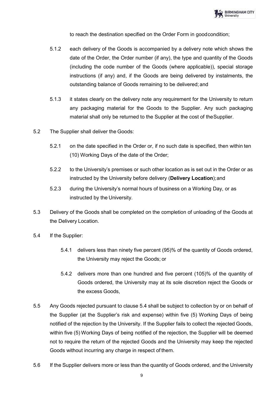to reach the destination specified on the Order Form in goodcondition;

- 5.1.2 each delivery of the Goods is accompanied by a delivery note which shows the date of the Order, the Order number (if any), the type and quantity of the Goods (including the code number of the Goods (where applicable)), special storage instructions (if any) and, if the Goods are being delivered by instalments, the outstanding balance of Goods remaining to be delivered; and
- 5.1.3 it states clearly on the delivery note any requirement for the University to return any packaging material for the Goods to the Supplier. Any such packaging material shall only be returned to the Supplier at the cost of theSupplier.
- 5.2 The Supplier shall deliver the Goods:
	- 5.2.1 on the date specified in the Order or, if no such date is specified, then within ten (10) Working Days of the date of the Order;
	- 5.2.2 to the University's premises or such other location as is set out in the Order or as instructed by the University before delivery (**Delivery Location**);and
	- 5.2.3 during the University's normal hours of business on a Working Day, or as instructed by the University.
- 5.3 Delivery of the Goods shall be completed on the completion of unloading of the Goods at the Delivery Location.
- 5.4 If the Supplier:
	- 5.4.1 delivers less than ninety five percent (95)% of the quantity of Goods ordered, the University may reject the Goods; or
	- 5.4.2 delivers more than one hundred and five percent (105)% of the quantity of Goods ordered, the University may at its sole discretion reject the Goods or the excess Goods,
- 5.5 Any Goods rejected pursuant to clause 5.4 shall be subject to collection by or on behalf of the Supplier (at the Supplier's risk and expense) within five (5) Working Days of being notified of the rejection by the University. If the Supplier fails to collect the rejected Goods, within five (5) Working Days of being notified of the rejection, the Supplier will be deemed not to require the return of the rejected Goods and the University may keep the rejected Goods without incurring any charge in respect of them.
- 5.6 If the Supplier delivers more or less than the quantity of Goods ordered, and the University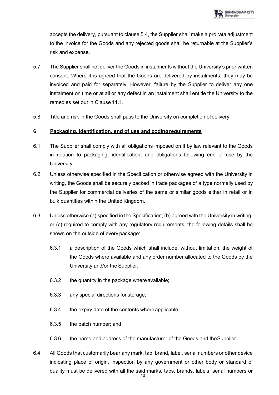accepts the delivery, pursuant to clause 5.4, the Supplier shall make a pro rata adjustment to the invoice for the Goods and any rejected goods shall be returnable at the Supplier's risk and expense.

- 5.7 The Supplier shall not deliver the Goods in instalments without the University's prior written consent. Where it is agreed that the Goods are delivered by instalments, they may be invoiced and paid for separately. However, failure by the Supplier to deliver any one instalment on time or at all or any defect in an instalment shall entitle the University to the remedies set out in Clause 11.1.
- 5.8 Title and risk in the Goods shall pass to the University on completion of delivery.

# <span id="page-10-0"></span>**6 Packaging, identification, end of use and codingrequirements**

- 6.1 The Supplier shall comply with all obligations imposed on it by law relevant to the Goods in relation to packaging, identification, and obligations following end of use by the University.
- 6.2 Unless otherwise specified in the Specification or otherwise agreed with the University in writing, the Goods shall be securely packed in trade packages of a type normally used by the Supplier for commercial deliveries of the same or similar goods either in retail or in bulk quantities within the United Kingdom.
- 6.3 Unless otherwise (a) specified in the Specification; (b) agreed with the University in writing; or (c) required to comply with any regulatory requirements, the following details shall be shown on the outside of every package:
	- 6.3.1 a description of the Goods which shall include, without limitation, the weight of the Goods where available and any order number allocated to the Goods by the University and/or the Supplier;
	- 6.3.2 the quantity in the package where available;
	- 6.3.3 any special directions for storage;
	- 6.3.4 the expiry date of the contents whereapplicable;
	- 6.3.5 the batch number; and
	- 6.3.6 the name and address of the manufacturer of the Goods and theSupplier.
- 6.4 All Goods that customarily bear any mark, tab, brand, label, serial numbers or other device indicating place of origin, inspection by any government or other body or standard of quality must be delivered with all the said marks, tabs, brands, labels, serial numbers or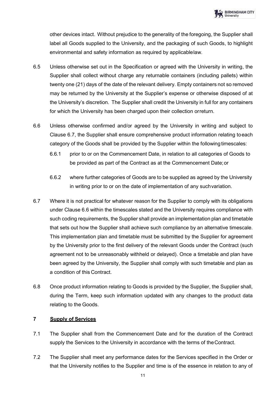other devices intact. Without prejudice to the generality of the foregoing, the Supplier shall label all Goods supplied to the University, and the packaging of such Goods, to highlight environmental and safety information as required by applicablelaw.

- 6.5 Unless otherwise set out in the Specification or agreed with the University in writing, the Supplier shall collect without charge any returnable containers (including pallets) within twenty one (21) days of the date of the relevant delivery. Empty containers not so removed may be returned by the University at the Supplier's expense or otherwise disposed of at the University's discretion. The Supplier shall credit the University in full for any containers for which the University has been charged upon their collection orreturn.
- 6.6 Unless otherwise confirmed and/or agreed by the University in writing and subject to Clause 6.7, the Supplier shall ensure comprehensive product information relating toeach category of the Goods shall be provided by the Supplier within the followingtimescales:
	- 6.6.1 prior to or on the Commencement Date, in relation to all categories of Goods to be provided as part of the Contract as at the Commencement Date;or
	- 6.6.2 where further categories of Goods are to be supplied as agreed by the University in writing prior to or on the date of implementation of any suchvariation.
- 6.7 Where it is not practical for whatever reason for the Supplier to comply with its obligations under Clause 6.6 within the timescales stated and the University requires compliance with such coding requirements, the Supplier shall provide an implementation plan and timetable that sets out how the Supplier shall achieve such compliance by an alternative timescale. This implementation plan and timetable must be submitted by the Supplier for agreement by the University prior to the first delivery of the relevant Goods under the Contract (such agreement not to be unreasonably withheld or delayed). Once a timetable and plan have been agreed by the University, the Supplier shall comply with such timetable and plan as a condition of this Contract.
- 6.8 Once product information relating to Goods is provided by the Supplier, the Supplier shall, during the Term, keep such information updated with any changes to the product data relating to the Goods.

# <span id="page-11-0"></span>**7 Supply of Services**

- 7.1 The Supplier shall from the Commencement Date and for the duration of the Contract supply the Services to the University in accordance with the terms of theContract.
- 7.2 The Supplier shall meet any performance dates for the Services specified in the Order or that the University notifies to the Supplier and time is of the essence in relation to any of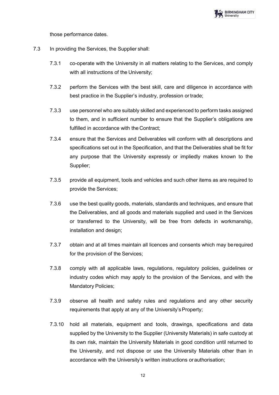

those performance dates.

- 7.3 In providing the Services, the Supplier shall:
	- 7.3.1 co-operate with the University in all matters relating to the Services, and comply with all instructions of the University;
	- 7.3.2 perform the Services with the best skill, care and diligence in accordance with best practice in the Supplier's industry, profession or trade;
	- 7.3.3 use personnel who are suitably skilled and experienced to perform tasks assigned to them, and in sufficient number to ensure that the Supplier's obligations are fulfilled in accordance with the Contract;
	- 7.3.4 ensure that the Services and Deliverables will conform with all descriptions and specifications set out in the Specification, and that the Deliverables shall be fit for any purpose that the University expressly or impliedly makes known to the Supplier;
	- 7.3.5 provide all equipment, tools and vehicles and such other items as are required to provide the Services;
	- 7.3.6 use the best quality goods, materials, standards and techniques, and ensure that the Deliverables, and all goods and materials supplied and used in the Services or transferred to the University, will be free from defects in workmanship, installation and design;
	- 7.3.7 obtain and at all times maintain all licences and consents which may berequired for the provision of the Services;
	- 7.3.8 comply with all applicable laws, regulations, regulatory policies, guidelines or industry codes which may apply to the provision of the Services, and with the Mandatory Policies;
	- 7.3.9 observe all health and safety rules and regulations and any other security requirements that apply at any of the University's Property;
	- 7.3.10 hold all materials, equipment and tools, drawings, specifications and data supplied by the University to the Supplier (University Materials) in safe custody at its own risk, maintain the University Materials in good condition until returned to the University, and not dispose or use the University Materials other than in accordance with the University's written instructions orauthorisation;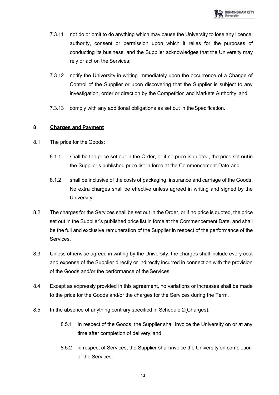- 7.3.11 not do or omit to do anything which may cause the University to lose any licence, authority, consent or permission upon which it relies for the purposes of conducting its business, and the Supplier acknowledges that the University may rely or act on the Services;
- 7.3.12 notify the University in writing immediately upon the occurrence of a Change of Control of the Supplier or upon discovering that the Supplier is subject to any investigation, order or direction by the Competition and Markets Authority; and
- 7.3.13 comply with any additional obligations as set out in theSpecification.

# <span id="page-13-0"></span>**8 Charges and Payment**

- 8.1 The price for the Goods:
	- 8.1.1 shall be the price set out in the Order, or if no price is quoted, the price set outin the Supplier's published price list in force at the Commencement Date;and
	- 8.1.2 shall be inclusive of the costs of packaging, insurance and carriage of the Goods. No extra charges shall be effective unless agreed in writing and signed by the University.
- 8.2 The charges for the Services shall be set out in the Order, or if no price is quoted, the price set out in the Supplier's published price list in force at the Commencement Date, and shall be the full and exclusive remuneration of the Supplier in respect of the performance of the **Services**
- 8.3 Unless otherwise agreed in writing by the University, the charges shall include every cost and expense of the Supplier directly or indirectly incurred in connection with the provision of the Goods and/or the performance of the Services.
- 8.4 Except as expressly provided in this agreement, no variations or increases shall be made to the price for the Goods and/or the charges for the Services during the Term.
- 8.5 In the absence of anything contrary specified in Schedule 2(Charges):
	- 8.5.1 In respect of the Goods, the Supplier shall invoice the University on or at any time after completion of delivery; and
	- 8.5.2 in respect of Services, the Supplier shall invoice the University on completion of the Services.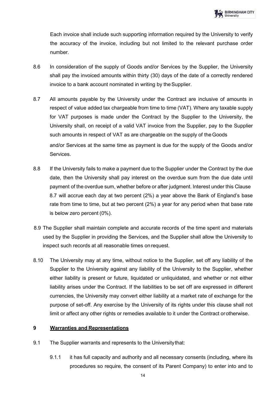Each invoice shall include such supporting information required by the University to verify the accuracy of the invoice, including but not limited to the relevant purchase order number.

- 8.6 In consideration of the supply of Goods and/or Services by the Supplier, the University shall pay the invoiced amounts within thirty (30) days of the date of a correctly rendered invoice to a bank account nominated in writing by the Supplier.
- 8.7 All amounts payable by the University under the Contract are inclusive of amounts in respect of value added tax chargeable from time to time (VAT). Where any taxable supply for VAT purposes is made under the Contract by the Supplier to the University, the University shall, on receipt of a valid VAT invoice from the Supplier, pay to the Supplier such amounts in respect of VAT as are chargeable on the supply of theGoods and/or Services at the same time as payment is due for the supply of the Goods and/or Services.
- 8.8 If the University fails to make a payment due to the Supplier under the Contract by the due date, then the University shall pay interest on the overdue sum from the due date until payment of the overdue sum, whether before or after judgment. Interest under this Clause 8.7 will accrue each day at two percent (2%) a year above the Bank of England's base rate from time to time, but at two percent (2%) a year for any period when that base rate is below zero percent (0%).
- 8.9 The Supplier shall maintain complete and accurate records of the time spent and materials used by the Supplier in providing the Services, and the Supplier shall allow the University to inspect such records at all reasonable times onrequest.
- 8.10 The University may at any time, without notice to the Supplier, set off any liability of the Supplier to the University against any liability of the University to the Supplier, whether either liability is present or future, liquidated or unliquidated, and whether or not either liability arises under the Contract. If the liabilities to be set off are expressed in different currencies, the University may convert either liability at a market rate of exchange for the purpose of set-off. Any exercise by the University of its rights under this clause shall not limit or affect any other rights or remedies available to it under the Contract orotherwise.

# <span id="page-14-0"></span>**9 Warranties and Representations**

- 9.1 The Supplier warrants and represents to the Universitythat:
	- 9.1.1 it has full capacity and authority and all necessary consents (including, where its procedures so require, the consent of its Parent Company) to enter into and to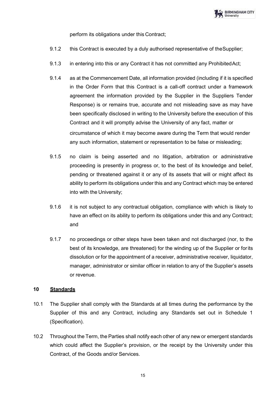

perform its obligations under this Contract;

- 9.1.2 this Contract is executed by a duly authorised representative of theSupplier;
- 9.1.3 in entering into this or any Contract it has not committed any ProhibitedAct;
- 9.1.4 as at the Commencement Date, all information provided (including if it is specified in the Order Form that this Contract is a call-off contract under a framework agreement the information provided by the Supplier in the Suppliers Tender Response) is or remains true, accurate and not misleading save as may have been specifically disclosed in writing to the University before the execution of this Contract and it will promptly advise the University of any fact, matter or circumstance of which it may become aware during the Term that would render any such information, statement or representation to be false or misleading;
- 9.1.5 no claim is being asserted and no litigation, arbitration or administrative proceeding is presently in progress or, to the best of its knowledge and belief, pending or threatened against it or any of its assets that will or might affect its ability to perform its obligations under this and any Contract which may be entered into with the University;
- 9.1.6 it is not subject to any contractual obligation, compliance with which is likely to have an effect on its ability to perform its obligations under this and any Contract; and
- 9.1.7 no proceedings or other steps have been taken and not discharged (nor, to the best of its knowledge, are threatened) for the winding up of the Supplier or forits dissolution or for the appointment of a receiver, administrative receiver, liquidator, manager, administrator or similar officer in relation to any of the Supplier's assets or revenue.

# <span id="page-15-0"></span>**10 Standards**

- 10.1 The Supplier shall comply with the Standards at all times during the performance by the Supplier of this and any Contract, including any Standards set out in Schedule 1 (Specification).
- 10.2 Throughout the Term, the Parties shall notify each other of any new or emergent standards which could affect the Supplier's provision, or the receipt by the University under this Contract, of the Goods and/or Services.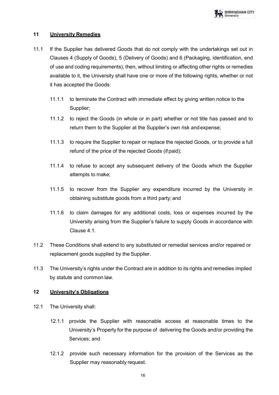## <span id="page-16-0"></span>**11 University Remedies**

- 11.1 If the Supplier has delivered Goods that do not comply with the undertakings set out in Clauses 4 (Supply of Goods), 5 (Delivery of Goods) and 6 (Packaging, identification, end of use and coding requirements), then, without limiting or affecting other rights or remedies available to it, the University shall have one or more of the following rights, whether or not it has accepted the Goods:
	- 11.1.1 to terminate the Contract with immediate effect by giving written notice to the Supplier;
	- 11.1.2 to reject the Goods (in whole or in part) whether or not title has passed and to return them to the Supplier at the Supplier's own risk andexpense;
	- 11.1.3 to require the Supplier to repair or replace the rejected Goods, or to provide a full refund of the price of the rejected Goods (if paid);
	- 11.1.4 to refuse to accept any subsequent delivery of the Goods which the Supplier attempts to make;
	- 11.1.5 to recover from the Supplier any expenditure incurred by the University in obtaining substitute goods from a third party; and
	- 11.1.6 to claim damages for any additional costs, loss or expenses incurred by the University arising from the Supplier's failure to supply Goods in accordance with Clause 4.1.
- 11.2 These Conditions shall extend to any substituted or remedial services and/or repaired or replacement goods supplied by the Supplier.
- 11.3 The University's rights under the Contract are in addition to its rights and remedies implied by statute and common law.

## <span id="page-16-1"></span>**12 University's Obligations**

- 12.1 The University shall:
	- 12.1.1 provide the Supplier with reasonable access at reasonable times to the University's Property for the purpose of delivering the Goods and/or providing the Services; and
	- 12.1.2 provide such necessary information for the provision of the Services as the Supplier may reasonably request.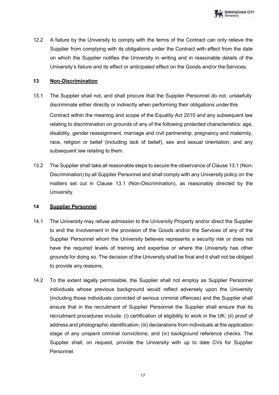12.2 A failure by the University to comply with the terms of the Contract can only relieve the Supplier from complying with its obligations under the Contract with effect from the date on which the Supplier notifies the University in writing and in reasonable details of the University's failure and its effect or anticipated effect on the Goods and/or theServices.

# <span id="page-17-0"></span>**13 Non-Discrimination**

- 13.1 The Supplier shall not, and shall procure that the Supplier Personnel do not, unlawfully discriminate either directly or indirectly when performing their obligations underthis Contract within the meaning and scope of the Equality Act 2010 and any subsequent law relating to discrimination on grounds of any of the following protected characteristics: age, disability, gender reassignment, marriage and civil partnership, pregnancy and maternity, race, religion or belief (including lack of belief), sex and sexual orientation, and any subsequent law relating to them.
- 13.2 The Supplier shall take all reasonable steps to secure the observance of Clause 13.1 (Non-Discrimination) by all Supplier Personnel and shall comply with any University policy on the matters set out in Clause 13.1 (Non-Discrimination), as reasonably directed by the University.

## <span id="page-17-1"></span>**14 Supplier Personnel**

- 14.1 The University may refuse admission to the University Property and/or direct the Supplier to end the involvement in the provision of the Goods and/or the Services of any of the Supplier Personnel whom the University believes represents a security risk or does not have the required levels of training and expertise or where the University has other grounds for doing so. The decision of the University shall be final and it shall not be obliged to provide any reasons.
- 14.2 To the extent legally permissible, the Supplier shall not employ as Supplier Personnel individuals whose previous background would reflect adversely upon the University (including those individuals convicted of serious criminal offences) and the Supplier shall ensure that in the recruitment of Supplier Personnel the Supplier shall ensure that its recruitment procedures include: (i) certification of eligibility to work in the UK; (ii) proof of address and photographic identification; (iii) declarations from individuals at the application stage of any unspent criminal convictions; and (iv) background reference checks. The Supplier shall, on request, provide the University with up to date CVs for Supplier Personnel.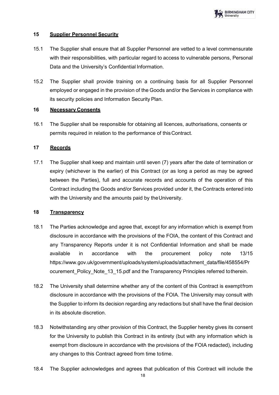## <span id="page-18-0"></span>**15 Supplier Personnel Security**

- 15.1 The Supplier shall ensure that all Supplier Personnel are vetted to a level commensurate with their responsibilities, with particular regard to access to vulnerable persons, Personal Data and the University's Confidential Information.
- 15.2 The Supplier shall provide training on a continuing basis for all Supplier Personnel employed or engaged in the provision of the Goods and/or the Services in compliance with its security policies and Information Security Plan.

# <span id="page-18-1"></span>**16 Necessary Consents**

16.1 The Supplier shall be responsible for obtaining all licences, authorisations, consents or permits required in relation to the performance of thisContract.

# <span id="page-18-2"></span>**17 Records**

17.1 The Supplier shall keep and maintain until seven (7) years after the date of termination or expiry (whichever is the earlier) of this Contract (or as long a period as may be agreed between the Parties), full and accurate records and accounts of the operation of this Contract including the Goods and/or Services provided under it, the Contracts entered into with the University and the amounts paid by theUniversity.

## <span id="page-18-3"></span>**18 Transparency**

- 18.1 The Parties acknowledge and agree that, except for any information which is exempt from disclosure in accordance with the provisions of the FOIA, the content of this Contract and any Transparency Reports under it is not Confidential Information and shall be made available in accordance with the procurement policy note 13/15 https:/[/www.gov.uk/government/uploads/system/uploads/attachment\\_data/file/458554/Pr](http://www.gov.uk/government/uploads/system/uploads/attachment_data/file/458554/Pr) ocurement Policy Note 13 15.pdf and the Transparency Principles referred totherein.
- 18.2 The University shall determine whether any of the content of this Contract is exemptfrom disclosure in accordance with the provisions of the FOIA. The University may consult with the Supplier to inform its decision regarding any redactions but shall have the final decision in its absolute discretion.
- 18.3 Notwithstanding any other provision of this Contract, the Supplier hereby gives its consent for the University to publish this Contract in its entirety (but with any information which is exempt from disclosure in accordance with the provisions of the FOIA redacted), including any changes to this Contract agreed from time totime.
- 18.4 The Supplier acknowledges and agrees that publication of this Contract will include the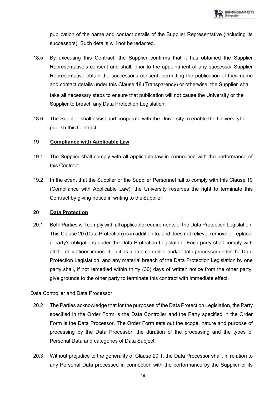publication of the name and contact details of the Supplier Representative (including its successors). Such details will not be redacted.

- 18.5 By executing this Contract, the Supplier confirms that it has obtained the Supplier Representative's consent and shall, prior to the appointment of any successor Supplier Representative obtain the successor's consent, permitting the publication of their name and contact details under this Clause 18 (Transparency) or otherwise, the Supplier shall take all necessary steps to ensure that publication will not cause the University or the Supplier to breach any Data Protection Legislation.
- 18.6 The Supplier shall assist and cooperate with the University to enable the Universityto publish this Contract.

## <span id="page-19-0"></span>**19 Compliance with Applicable Law**

- 19.1 The Supplier shall comply with all applicable law in connection with the performance of this Contract.
- 19.2 In the event that the Supplier or the Supplier Personnel fail to comply with this Clause 19 (Compliance with Applicable Law), the University reserves the right to terminate this Contract by giving notice in writing to the Supplier.

# <span id="page-19-1"></span>**20 Data Protection**

20.1 Both Parties will comply with all applicable requirements of the Data Protection Legislation. This Clause 20 (Data Protection) is in addition to, and does not relieve, remove or replace, a party's obligations under the Data Protection Legislation. Each party shall comply with all the obligations imposed on it as a data controller and/or data processor under the Data Protection Legislation, and any material breach of the Data Protection Legislation by one party shall, if not remedied within thirty (30) days of written notice from the other party, give grounds to the other party to terminate this contract with immediate effect.

# Data Controller and Data Processor

- 20.2 The Parties acknowledge that for the purposes of the Data Protection Legislation, the Party specified in the Order Form is the Data Controller and the Party specified in the Order Form is the Data Processor. The Order Form sets out the scope, nature and purpose of processing by the Data Processor, the duration of the processing and the types of Personal Data and categories of Data Subject.
- 20.3 Without prejudice to the generality of Clause 20.1, the Data Processor shall, in relation to any Personal Data processed in connection with the performance by the Supplier of its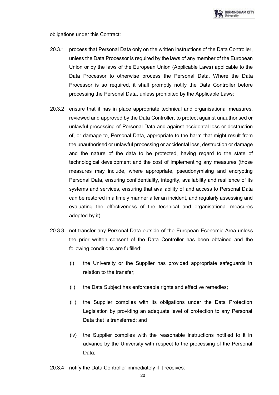

obligations under this Contract:

- 20.3.1 process that Personal Data only on the written instructions of the Data Controller, unless the Data Processor is required by the laws of any member of the European Union or by the laws of the European Union (Applicable Laws) applicable to the Data Processor to otherwise process the Personal Data. Where the Data Processor is so required, it shall promptly notify the Data Controller before processing the Personal Data, unless prohibited by the Applicable Laws;
- 20.3.2 ensure that it has in place appropriate technical and organisational measures, reviewed and approved by the Data Controller, to protect against unauthorised or unlawful processing of Personal Data and against accidental loss or destruction of, or damage to, Personal Data, appropriate to the harm that might result from the unauthorised or unlawful processing or accidental loss, destruction or damage and the nature of the data to be protected, having regard to the state of technological development and the cost of implementing any measures (those measures may include, where appropriate, pseudonymising and encrypting Personal Data, ensuring confidentiality, integrity, availability and resilience of its systems and services, ensuring that availability of and access to Personal Data can be restored in a timely manner after an incident, and regularly assessing and evaluating the effectiveness of the technical and organisational measures adopted by it);
- 20.3.3 not transfer any Personal Data outside of the European Economic Area unless the prior written consent of the Data Controller has been obtained and the following conditions are fulfilled:
	- (i) the University or the Supplier has provided appropriate safeguards in relation to the transfer;
	- (ii) the Data Subject has enforceable rights and effective remedies;
	- (iii) the Supplier complies with its obligations under the Data Protection Legislation by providing an adequate level of protection to any Personal Data that is transferred; and
	- (iv) the Supplier complies with the reasonable instructions notified to it in advance by the University with respect to the processing of the Personal Data;
- 20.3.4 notify the Data Controller immediately if it receives: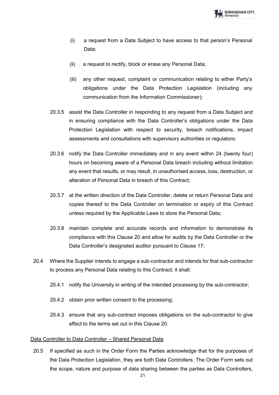- (i) a request from a Data Subject to have access to that person's Personal Data;
- (ii) a request to rectify, block or erase any Personal Data;
- (iii) any other request, complaint or communication relating to either Party's obligations under the Data Protection Legislation (including any communication from the Information Commissioner);
- 20.3.5 assist the Data Controller in responding to any request from a Data Subject and in ensuring compliance with the Data Controller's obligations under the Data Protection Legislation with respect to security, breach notifications, impact assessments and consultations with supervisory authorities or regulators;
- 20.3.6 notify the Data Controller immediately and in any event within 24 (twenty four) hours on becoming aware of a Personal Data breach including without limitation any event that results, or may result, in unauthorised access, loss, destruction, or alteration of Personal Data in breach of this Contract;
- 20.3.7 at the written direction of the Data Controller, delete or return Personal Data and copies thereof to the Data Controller on termination or expiry of this Contract unless required by the Applicable Laws to store the Personal Data;
- 20.3.8 maintain complete and accurate records and information to demonstrate its compliance with this Clause 20 and allow for audits by the Data Controller or the Data Controller's designated auditor pursuant to Clause 17;
- 20.4 Where the Supplier intends to engage a sub-contractor and intends for that sub-contractor to process any Personal Data relating to this Contract, it shall:
	- 20.4.1 notify the University in writing of the intended processing by the sub-contractor;
	- 20.4.2 obtain prior written consent to the processing;
	- 20.4.3 ensure that any sub-contract imposes obligations on the sub-contractor to give effect to the terms set out in this Clause 20.

#### Data Controller to Data Controller – Shared Personal Data

20.5 If specified as such in the Order Form the Parties acknowledge that for the purposes of the Data Protection Legislation, they are both Data Controllers. The Order Form sets out the scope, nature and purpose of data sharing between the parties as Data Controllers,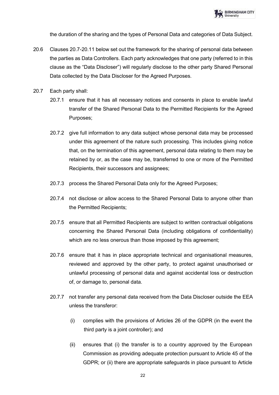

the duration of the sharing and the types of Personal Data and categories of Data Subject.

- 20.6 Clauses 20.7-20.11 below set out the framework for the sharing of personal data between the parties as Data Controllers. Each party acknowledges that one party (referred to in this clause as the "Data Discloser") will regularly disclose to the other party Shared Personal Data collected by the Data Discloser for the Agreed Purposes.
- 20.7 Each party shall:
	- 20.7.1 ensure that it has all necessary notices and consents in place to enable lawful transfer of the Shared Personal Data to the Permitted Recipients for the Agreed Purposes;
	- 20.7.2 give full information to any data subject whose personal data may be processed under this agreement of the nature such processing. This includes giving notice that, on the termination of this agreement, personal data relating to them may be retained by or, as the case may be, transferred to one or more of the Permitted Recipients, their successors and assignees;
	- 20.7.3 process the Shared Personal Data only for the Agreed Purposes;
	- 20.7.4 not disclose or allow access to the Shared Personal Data to anyone other than the Permitted Recipients;
	- 20.7.5 ensure that all Permitted Recipients are subject to written contractual obligations concerning the Shared Personal Data (including obligations of confidentiality) which are no less onerous than those imposed by this agreement;
	- 20.7.6 ensure that it has in place appropriate technical and organisational measures, reviewed and approved by the other party, to protect against unauthorised or unlawful processing of personal data and against accidental loss or destruction of, or damage to, personal data.
	- 20.7.7 not transfer any personal data received from the Data Discloser outside the EEA unless the transferor:
		- (i) complies with the provisions of Articles 26 of the GDPR (in the event the third party is a joint controller); and
		- (ii) ensures that (i) the transfer is to a country approved by the European Commission as providing adequate protection pursuant to Article 45 of the GDPR; or (ii) there are appropriate safeguards in place pursuant to Article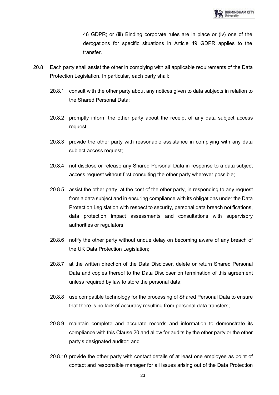46 GDPR; or (iii) Binding corporate rules are in place or (iv) one of the derogations for specific situations in Article 49 GDPR applies to the transfer.

- 20.8 Each party shall assist the other in complying with all applicable requirements of the Data Protection Legislation. In particular, each party shall:
	- 20.8.1 consult with the other party about any notices given to data subjects in relation to the Shared Personal Data;
	- 20.8.2 promptly inform the other party about the receipt of any data subject access request;
	- 20.8.3 provide the other party with reasonable assistance in complying with any data subject access request;
	- 20.8.4 not disclose or release any Shared Personal Data in response to a data subject access request without first consulting the other party wherever possible;
	- 20.8.5 assist the other party, at the cost of the other party, in responding to any request from a data subject and in ensuring compliance with its obligations under the Data Protection Legislation with respect to security, personal data breach notifications, data protection impact assessments and consultations with supervisory authorities or regulators;
	- 20.8.6 notify the other party without undue delay on becoming aware of any breach of the UK Data Protection Legislation;
	- 20.8.7 at the written direction of the Data Discloser, delete or return Shared Personal Data and copies thereof to the Data Discloser on termination of this agreement unless required by law to store the personal data;
	- 20.8.8 use compatible technology for the processing of Shared Personal Data to ensure that there is no lack of accuracy resulting from personal data transfers;
	- 20.8.9 maintain complete and accurate records and information to demonstrate its compliance with this Clause 20 and allow for audits by the other party or the other party's designated auditor; and
	- 20.8.10 provide the other party with contact details of at least one employee as point of contact and responsible manager for all issues arising out of the Data Protection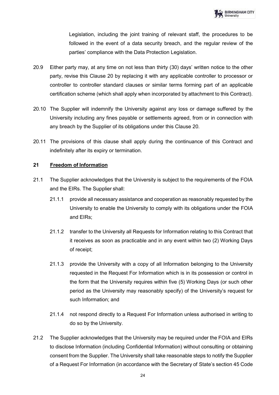Legislation, including the joint training of relevant staff, the procedures to be followed in the event of a data security breach, and the regular review of the parties' compliance with the Data Protection Legislation.

- 20.9 Either party may, at any time on not less than thirty (30) days' written notice to the other party, revise this Clause 20 by replacing it with any applicable controller to processor or controller to controller standard clauses or similar terms forming part of an applicable certification scheme (which shall apply when incorporated by attachment to this Contract).
- 20.10 The Supplier will indemnify the University against any loss or damage suffered by the University including any fines payable or settlements agreed, from or in connection with any breach by the Supplier of its obligations under this Clause 20.
- 20.11 The provisions of this clause shall apply during the continuance of this Contract and indefinitely after its expiry or termination.

# <span id="page-24-0"></span>**21 Freedom of Information**

- 21.1 The Supplier acknowledges that the University is subject to the requirements of the FOIA and the EIRs. The Supplier shall:
	- 21.1.1 provide all necessary assistance and cooperation as reasonably requested by the University to enable the University to comply with its obligations under the FOIA and EIRs;
	- 21.1.2 transfer to the University all Requests for Information relating to this Contract that it receives as soon as practicable and in any event within two (2) Working Days of receipt;
	- 21.1.3 provide the University with a copy of all Information belonging to the University requested in the Request For Information which is in its possession or control in the form that the University requires within five (5) Working Days (or such other period as the University may reasonably specify) of the University's request for such Information; and
	- 21.1.4 not respond directly to a Request For Information unless authorised in writing to do so by the University.
- 21.2 The Supplier acknowledges that the University may be required under the FOIA and EIRs to disclose Information (including Confidential Information) without consulting or obtaining consent from the Supplier. The University shall take reasonable steps to notify the Supplier of a Request For Information (in accordance with the Secretary of State's section 45 Code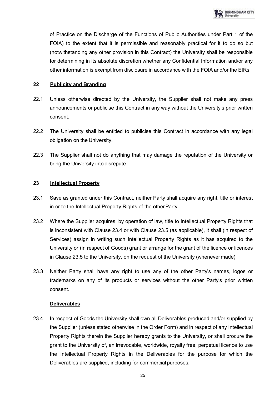of Practice on the Discharge of the Functions of Public Authorities under Part 1 of the FOIA) to the extent that it is permissible and reasonably practical for it to do so but (notwithstanding any other provision in this Contract) the University shall be responsible for determining in its absolute discretion whether any Confidential Information and/or any other information is exempt from disclosure in accordance with the FOIA and/or the EIRs.

## <span id="page-25-0"></span>**22 Publicity and Branding**

- 22.1 Unless otherwise directed by the University, the Supplier shall not make any press announcements or publicise this Contract in any way without the University's prior written consent.
- 22.2 The University shall be entitled to publicise this Contract in accordance with any legal obligation on the University.
- 22.3 The Supplier shall not do anything that may damage the reputation of the University or bring the University into disrepute.

# <span id="page-25-1"></span>**23 Intellectual Property**

- 23.1 Save as granted under this Contract, neither Party shall acquire any right, title or interest in or to the Intellectual Property Rights of the other Party.
- 23.2 Where the Supplier acquires, by operation of law, title to Intellectual Property Rights that is inconsistent with Clause 23.4 or with Clause 23.5 (as applicable), it shall (in respect of Services) assign in writing such Intellectual Property Rights as it has acquired to the University or (in respect of Goods) grant or arrange for the grant of the licence or licences in Clause 23.5 to the University, on the request of the University (whenevermade).
- 23.3 Neither Party shall have any right to use any of the other Party's names, logos or trademarks on any of its products or services without the other Party's prior written consent.

## **Deliverables**

23.4 In respect of Goods the University shall own all Deliverables produced and/or supplied by the Supplier (unless stated otherwise in the Order Form) and in respect of any Intellectual Property Rights therein the Supplier hereby grants to the University, or shall procure the grant to the University of, an irrevocable, worldwide, royalty free, perpetual licence to use the Intellectual Property Rights in the Deliverables for the purpose for which the Deliverables are supplied, including for commercial purposes.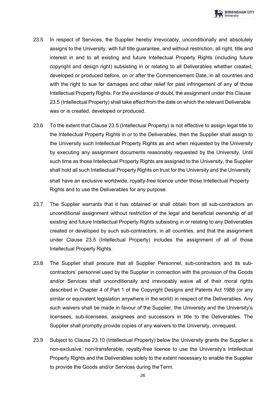- 23.5 In respect of Services, the Supplier hereby irrevocably, unconditionally and absolutely assigns to the University, with full title guarantee, and without restriction, all right, title and interest in and to all existing and future Intellectual Property Rights (including future copyright and design right) subsisting in or relating to all Deliverables whether created, developed or produced before, on or after the Commencement Date, in all countries and with the right to sue for damages and other relief for past infringement of any of those Intellectual Property Rights. For the avoidance of doubt, the assignment under this Clause 23.5 (Intellectual Property) shall take effect from the date on which the relevant Deliverable was or is created, developed or produced.
- 23.6 To the extent that Clause 23.5 (Intellectual Property) is not effective to assign legal title to the Intellectual Property Rights in or to the Deliverables, then the Supplier shall assign to the University such Intellectual Property Rights as and when requested by the University by executing any assignment documents reasonably requested by the University. Until such time as those Intellectual Property Rights are assigned to the University, the Supplier shall hold all such Intellectual Property Rights on trust for the University and the University shall have an exclusive worldwide, royalty-free licence under those Intellectual Property Rights and to use the Deliverables for any purpose.
- 23.7 The Supplier warrants that it has obtained or shall obtain from all sub-contractors an unconditional assignment without restriction of the legal and beneficial ownership of all existing and future Intellectual Property Rights subsisting in or relating to any Deliverables created or developed by such sub-contractors, in all countries, and that the assignment under Clause 23.5 (Intellectual Property) includes the assignment of all of those Intellectual Property Rights.
- 23.8 The Supplier shall procure that all Supplier Personnel, sub-contractors and its subcontractors' personnel used by the Supplier in connection with the provision of the Goods and/or Services shall unconditionally and irrevocably waive all of their moral rights described in Chapter 4 of Part 1 of the Copyright Designs and Patents Act 1988 (or any similar or equivalent legislation anywhere in the world) in respect of the Deliverables. Any such waivers shall be made in favour of the Supplier, the University and the University's licensees, sub-licensees, assignees and successors in title to the Deliverables. The Supplier shall promptly provide copies of any waivers to the University, onrequest.
- 23.9 Subject to Clause 23.10 (Intellectual Property) below the University grants the Supplier a non-exclusive, non-transferable, royalty-free licence to use the University's Intellectual Property Rights and the Deliverables solely to the extent necessary to enable the Supplier to provide the Goods and/or Services during the Term.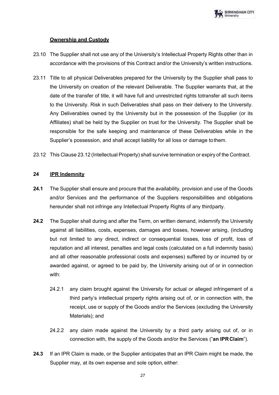

## **Ownership and Custody**

- 23.10 The Supplier shall not use any of the University's Intellectual Property Rights other than in accordance with the provisions of this Contract and/or the University's written instructions.
- 23.11 Title to all physical Deliverables prepared for the University by the Supplier shall pass to the University on creation of the relevant Deliverable. The Supplier warrants that, at the date of the transfer of title, it will have full and unrestricted rights totransfer all such items to the University. Risk in such Deliverables shall pass on their delivery to the University. Any Deliverables owned by the University but in the possession of the Supplier (or its Affiliates) shall be held by the Supplier on trust for the University. The Supplier shall be responsible for the safe keeping and maintenance of these Deliverables while in the Supplier's possession, and shall accept liability for all loss or damage tothem.
- 23.12 This Clause 23.12 (Intellectual Property) shall survive termination or expiry of the Contract.

# <span id="page-27-0"></span>**24 IPR Indemnity**

- **24.1** The Supplier shall ensure and procure that the availability, provision and use of the Goods and/or Services and the performance of the Suppliers responsibilities and obligations hereunder shall not infringe any Intellectual Property Rights of any thirdparty.
- **24.2** The Supplier shall during and after the Term, on written demand, indemnify the University against all liabilities, costs, expenses, damages and losses, however arising, (including but not limited to any direct, indirect or consequential losses, loss of profit, loss of reputation and all interest, penalties and legal costs (calculated on a full indemnity basis) and all other reasonable professional costs and expenses) suffered by or incurred by or awarded against, or agreed to be paid by, the University arising out of or in connection with:
	- 24.2.1 any claim brought against the University for actual or alleged infringement of a third party's intellectual property rights arising out of, or in connection with, the receipt, use or supply of the Goods and/or the Services (excluding the University Materials); and
	- 24.2.2 any claim made against the University by a third party arising out of, or in connection with, the supply of the Goods and/or the Services ("**an IPRClaim**").
- **24.3** If an IPR Claim is made, or the Supplier anticipates that an IPR Claim might be made, the Supplier may, at its own expense and sole option, either: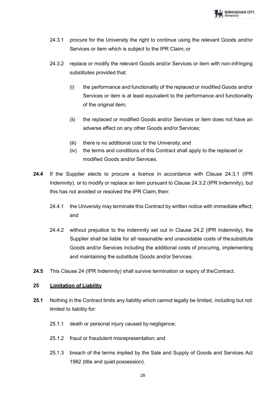

- 24.3.1 procure for the University the right to continue using the relevant Goods and/or Services or item which is subject to the IPR Claim; or
- 24.3.2 replace or modify the relevant Goods and/or Services or item with non-infringing substitutes provided that:
	- (i) the performance and functionality of the replaced or modified Goods and/or Services or item is at least equivalent to the performance and functionality of the original item;
	- (ii) the replaced or modified Goods and/or Services or item does not have an adverse effect on any other Goods and/or Services;
	- (iii) there is no additional cost to the University; and
	- (iv) the terms and conditions of this Contract shall apply to the replaced or modified Goods and/or Services.
- **24.4** If the Supplier elects to procure a licence in accordance with Clause 24.3.1 (IPR Indemnity), or to modify or replace an item pursuant to Clause 24.3.2 (IPR Indemnity), but this has not avoided or resolved the IPR Claim, then:
	- 24.4.1 the University may terminate this Contract by written notice with immediate effect; and
	- 24.4.2 without prejudice to the indemnity set out in Clause 24.2 (IPR Indemnity), the Supplier shall be liable for all reasonable and unavoidable costs of thesubstitute Goods and/or Services including the additional costs of procuring, implementing and maintaining the substitute Goods and/or Services.
- **24.5** This Clause 24 (IPR Indemnity) shall survive termination or expiry of theContract.

#### <span id="page-28-0"></span>**25 Limitation of Liability**

- **25.1** Nothing in the Contract limits any liability which cannot legally be limited, including but not limited to liability for:
	- 25.1.1 death or personal injury caused by negligence;
	- 25.1.2 fraud or fraudulent misrepresentation; and
	- 25.1.3 breach of the terms implied by the Sale and Supply of Goods and Services Act 1982 (title and quiet possession).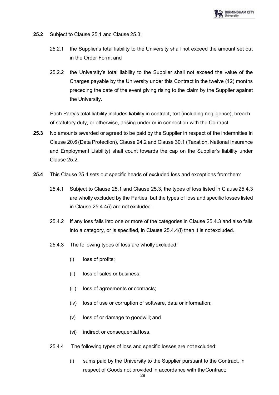

- **25.2** Subject to Clause 25.1 and Clause 25.3:
	- 25.2.1 the Supplier's total liability to the University shall not exceed the amount set out in the Order Form; and
	- 25.2.2 the University's total liability to the Supplier shall not exceed the value of the Charges payable by the University under this Contract in the twelve (12) months preceding the date of the event giving rising to the claim by the Supplier against the University.

Each Party's total liability includes liability in contract, tort (including negligence), breach of statutory duty, or otherwise, arising under or in connection with the Contract.

- **25.3** No amounts awarded or agreed to be paid by the Supplier in respect of the indemnities in Clause 20.6 (Data Protection), Clause 24.2 and Clause 30.1 (Taxation, National Insurance and Employment Liability) shall count towards the cap on the Supplier's liability under Clause 25.2.
- **25.4** This Clause 25.4 sets out specific heads of excluded loss and exceptions fromthem:
	- 25.4.1 Subject to Clause 25.1 and Clause 25.3, the types of loss listed in Clause25.4.3 are wholly excluded by the Parties, but the types of loss and specific losses listed in Clause 25.4.4(i) are not excluded.
	- 25.4.2 If any loss falls into one or more of the categories in Clause 25.4.3 and also falls into a category, or is specified, in Clause 25.4.4(i) then it is notexcluded.
	- 25.4.3 The following types of loss are wholly excluded:
		- (i) loss of profits;
		- (ii) loss of sales or business;
		- (iii) loss of agreements or contracts;
		- (iv) loss of use or corruption of software, data or information;
		- (v) loss of or damage to goodwill; and
		- (vi) indirect or consequential loss.
	- 25.4.4 The following types of loss and specific losses are not excluded:
		- (i) sums paid by the University to the Supplier pursuant to the Contract, in respect of Goods not provided in accordance with theContract;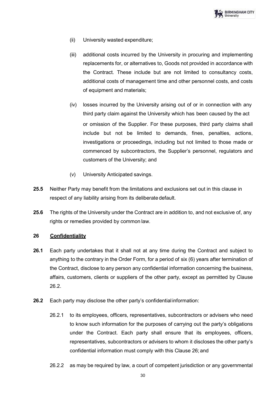

- (ii) University wasted expenditure;
- (iii) additional costs incurred by the University in procuring and implementing replacements for, or alternatives to, Goods not provided in accordance with the Contract. These include but are not limited to consultancy costs, additional costs of management time and other personnel costs, and costs of equipment and materials;
- (iv) losses incurred by the University arising out of or in connection with any third party claim against the University which has been caused by the act or omission of the Supplier. For these purposes, third party claims shall include but not be limited to demands, fines, penalties, actions, investigations or proceedings, including but not limited to those made or commenced by subcontractors, the Supplier's personnel, regulators and customers of the University; and
- (v) University Anticipated savings.
- **25.5** Neither Party may benefit from the limitations and exclusions set out in this clause in respect of any liability arising from its deliberate default.
- **25.6** The rights of the University under the Contract are in addition to, and not exclusive of, any rights or remedies provided by common law.

#### <span id="page-30-0"></span>**26 Confidentiality**

- **26.1** Each party undertakes that it shall not at any time during the Contract and subject to anything to the contrary in the Order Form, for a period of six (6) years after termination of the Contract, disclose to any person any confidential information concerning the business, affairs, customers, clients or suppliers of the other party, except as permitted by Clause 26.2.
- **26.2** Each party may disclose the other party's confidential information:
	- 26.2.1 to its employees, officers, representatives, subcontractors or advisers who need to know such information for the purposes of carrying out the party's obligations under the Contract. Each party shall ensure that its employees, officers, representatives, subcontractors or advisers to whom it discloses the other party's confidential information must comply with this Clause 26; and
	- 26.2.2 as may be required by law, a court of competent jurisdiction or any governmental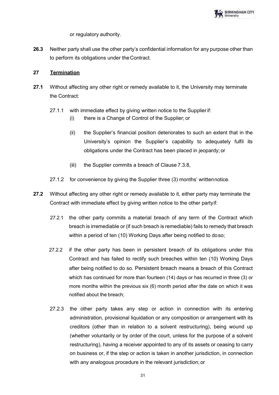

or regulatory authority.

**26.3** Neither party shall use the other party's confidential information for any purpose other than to perform its obligations under the Contract.

## **27 Termination**

- **27.1** Without affecting any other right or remedy available to it, the University may terminate the Contract:
	- 27.1.1 with immediate effect by giving written notice to the Supplierif:
		- (i) there is a Change of Control of the Supplier; or
		- (ii) the Supplier's financial position deteriorates to such an extent that in the University's opinion the Supplier's capability to adequately fulfil its obligations under the Contract has been placed in jeopardy; or
		- (iii) the Supplier commits a breach of Clause 7.3.8,
	- 27.1.2 for convenience by giving the Supplier three (3) months' writtennotice.
- **27.2** Without affecting any other right or remedy available to it, either party may terminate the Contract with immediate effect by giving written notice to the other partyif:
	- 27.2.1 the other party commits a material breach of any term of the Contract which breach is irremediable or (if such breach is remediable) fails to remedy that breach within a period of ten (10) Working Days after being notified to doso;
	- 27.2.2 if the other party has been in persistent breach of its obligations under this Contract and has failed to rectify such breaches within ten (10) Working Days after being notified to do so. Persistent breach means a breach of this Contract which has continued for more than fourteen (14) days or has recurred in three (3) or more months within the previous six (6) month period after the date on which it was notified about the breach;
	- 27.2.3 the other party takes any step or action in connection with its entering administration, provisional liquidation or any composition or arrangement with its creditors (other than in relation to a solvent restructuring), being wound up (whether voluntarily or by order of the court, unless for the purpose of a solvent restructuring), having a receiver appointed to any of its assets or ceasing to carry on business or, if the step or action is taken in another jurisdiction, in connection with any analogous procedure in the relevant jurisdiction; or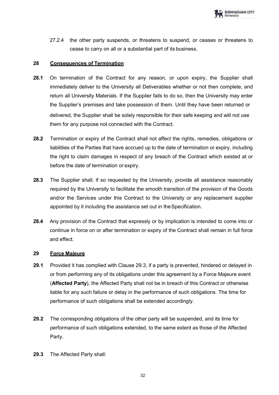27.2.4 the other party suspends, or threatens to suspend, or ceases or threatens to cease to carry on all or a substantial part of its business.

## **28 Consequences of Termination**

- **28.1** On termination of the Contract for any reason, or upon expiry, the Supplier shall immediately deliver to the University all Deliverables whether or not then complete, and return all University Materials. If the Supplier fails to do so, then the University may enter the Supplier's premises and take possession of them. Until they have been returned or delivered, the Supplier shall be solely responsible for their safe keeping and will not use them for any purpose not connected with the Contract.
- **28.2** Termination or expiry of the Contract shall not affect the rights, remedies, obligations or liabilities of the Parties that have accrued up to the date of termination or expiry, including the right to claim damages in respect of any breach of the Contract which existed at or before the date of termination or expiry.
- **28.3** The Supplier shall, if so requested by the University, provide all assistance reasonably required by the University to facilitate the smooth transition of the provision of the Goods and/or the Services under this Contract to the University or any replacement supplier appointed by it including the assistance set out in theSpecification.
- **28.4** Any provision of the Contract that expressly or by implication is intended to come into or continue in force on or after termination or expiry of the Contract shall remain in full force and effect.

## **29 Force Majeure**

- **29.1** Provided it has complied with Clause 29.3, if a party is prevented, hindered or delayed in or from performing any of its obligations under this agreement by a Force Majeure event (**Affected Party**), the Affected Party shall not be in breach of this Contract or otherwise liable for any such failure or delay in the performance of such obligations. The time for performance of such obligations shall be extended accordingly.
- **29.2** The corresponding obligations of the other party will be suspended, and its time for performance of such obligations extended, to the same extent as those of the Affected Party.
- **29.3** The Affected Party shall: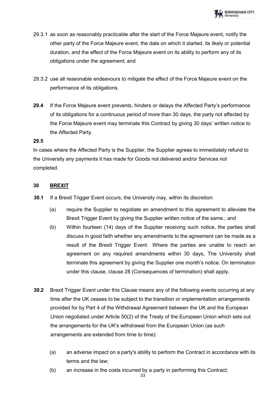

- 29.3.1 as soon as reasonably practicable after the start of the Force Majeure event, notify the other party of the Force Majeure event, the date on which it started, its likely or potential duration, and the effect of the Force Majeure event on its ability to perform any of its obligations under the agreement; and
- 29.3.2 use all reasonable endeavours to mitigate the effect of the Force Majeure event on the performance of its obligations.
- **29.4** If the Force Majeure event prevents, hinders or delays the Affected Party's performance of its obligations for a continuous period of more than 30 days, the party not affected by the Force Majeure event may terminate this Contract by giving 30 days' written notice to the Affected Party.

#### **29.5**

In cases where the Affected Party is the Supplier, the Supplier agrees to immediately refund to the University any payments it has made for Goods not delivered and/or Services not completed.

# **30 BREXIT**

- **30.1** If a Brexit Trigger Event occurs, the University may, within its discretion:
	- (a) require the Supplier to negotiate an amendment to this agreement to alleviate the Brexit Trigger Event by giving the Supplier written notice of the same.; and
	- (b) Within fourteen (14) days of the Supplier receiving such notice, the parties shall discuss in good faith whether any amendments to the agreement can be made as a result of the Brexit Trigger Event. Where the parties are unable to reach an agreement on any required amendments within 30 days, The University shall terminate this agreement by giving the Supplier one month's notice. On termination under this clause, clause 28 (Consequences of termination) shall apply.
- **30.2** Brexit Trigger Event under this Clause means any of the following events occurring at any time after the UK ceases to be subject to the transition or implementation arrangements provided for by Part 4 of the Withdrawal Agreement between the UK and the European Union negotiated under Article 50(2) of the Treaty of the European Union which sets out the arrangements for the UK's withdrawal from the European Union (as such arrangements are extended from time to time):
	- (a) an adverse impact on a party's ability to perform the Contract in accordance with its terms and the law;
	- (b) an increase in the costs incurred by a party in performing this Contract;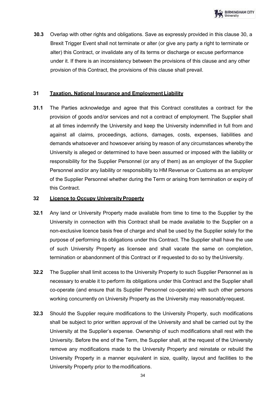

**30.3** Overlap with other rights and obligations. Save as expressly provided in this clause 30, a Brexit Trigger Event shall not terminate or alter (or give any party a right to terminate or alter) this Contract, or invalidate any of its terms or discharge or excuse performance under it. If there is an inconsistency between the provisions of this clause and any other provision of this Contract, the provisions of this clause shall prevail.

## **31 Taxation, National Insurance and Employment Liability**

**31.1** The Parties acknowledge and agree that this Contract constitutes a contract for the provision of goods and/or services and not a contract of employment. The Supplier shall at all times indemnify the University and keep the University indemnified in full from and against all claims, proceedings, actions, damages, costs, expenses, liabilities and demands whatsoever and howsoever arising by reason of any circumstances whereby the University is alleged or determined to have been assumed or imposed with the liability or responsibility for the Supplier Personnel (or any of them) as an employer of the Supplier Personnel and/or any liability or responsibility to HM Revenue or Customs as an employer of the Supplier Personnel whether during the Term or arising from termination or expiry of this Contract.

### **32 Licence to Occupy University Property**

- **32.1** Any land or University Property made available from time to time to the Supplier by the University in connection with this Contract shall be made available to the Supplier on a non-exclusive licence basis free of charge and shall be used by the Supplier solely for the purpose of performing its obligations under this Contract. The Supplier shall have the use of such University Property as licensee and shall vacate the same on completion, termination or abandonment of this Contract or if requested to do so by theUniversity.
- **32.2** The Supplier shall limit access to the University Property to such Supplier Personnel as is necessary to enable it to perform its obligations under this Contract and the Supplier shall co-operate (and ensure that its Supplier Personnel co-operate) with such other persons working concurrently on University Property as the University may reasonablyrequest.
- **32.3** Should the Supplier require modifications to the University Property, such modifications shall be subject to prior written approval of the University and shall be carried out by the University at the Supplier's expense. Ownership of such modifications shall rest with the University. Before the end of the Term, the Supplier shall, at the request of the University remove any modifications made to the University Property and reinstate or rebuild the University Property in a manner equivalent in size, quality, layout and facilities to the University Property prior to the modifications.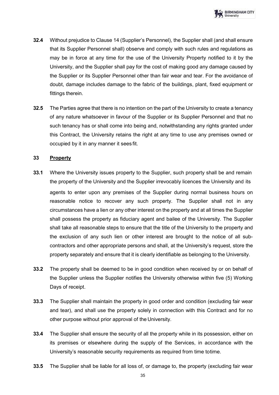- **32.4** Without prejudice to Clause 14 (Supplier's Personnel), the Supplier shall (and shall ensure that its Supplier Personnel shall) observe and comply with such rules and regulations as may be in force at any time for the use of the University Property notified to it by the University, and the Supplier shall pay for the cost of making good any damage caused by the Supplier or its Supplier Personnel other than fair wear and tear. For the avoidance of doubt, damage includes damage to the fabric of the buildings, plant, fixed equipment or fittings therein.
- **32.5** The Parties agree that there is no intention on the part of the University to create a tenancy of any nature whatsoever in favour of the Supplier or its Supplier Personnel and that no such tenancy has or shall come into being and, notwithstanding any rights granted under this Contract, the University retains the right at any time to use any premises owned or occupied by it in any manner it sees fit.

### **33 Property**

- **33.1** Where the University issues property to the Supplier, such property shall be and remain the property of the University and the Supplier irrevocably licences the University and its agents to enter upon any premises of the Supplier during normal business hours on reasonable notice to recover any such property. The Supplier shall not in any circumstances have a lien or any other interest on the property and at all times the Supplier shall possess the property as fiduciary agent and bailee of the University. The Supplier shall take all reasonable steps to ensure that the title of the University to the property and the exclusion of any such lien or other interest are brought to the notice of all subcontractors and other appropriate persons and shall, at the University's request, store the property separately and ensure that it is clearly identifiable as belonging to the University.
- **33.2** The property shall be deemed to be in good condition when received by or on behalf of the Supplier unless the Supplier notifies the University otherwise within five (5) Working Days of receipt.
- **33.3** The Supplier shall maintain the property in good order and condition (excluding fair wear and tear), and shall use the property solely in connection with this Contract and for no other purpose without prior approval of the University.
- **33.4** The Supplier shall ensure the security of all the property while in its possession, either on its premises or elsewhere during the supply of the Services, in accordance with the University's reasonable security requirements as required from time totime.
- **33.5** The Supplier shall be liable for all loss of, or damage to, the property (excluding fair wear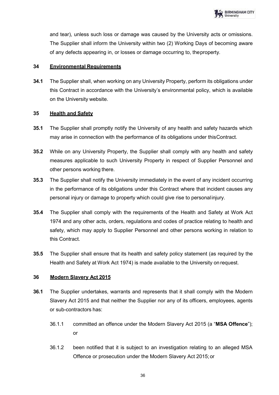and tear), unless such loss or damage was caused by the University acts or omissions. The Supplier shall inform the University within two (2) Working Days of becoming aware of any defects appearing in, or losses or damage occurring to, theproperty.

# **34 Environmental Requirements**

**34.1** The Supplier shall, when working on any University Property, perform its obligations under this Contract in accordance with the University's environmental policy, which is available on the University website.

# **35 Health and Safety**

- **35.1** The Supplier shall promptly notify the University of any health and safety hazards which may arise in connection with the performance of its obligations under thisContract.
- **35.2** While on any University Property, the Supplier shall comply with any health and safety measures applicable to such University Property in respect of Supplier Personnel and other persons working there.
- **35.3** The Supplier shall notify the University immediately in the event of any incident occurring in the performance of its obligations under this Contract where that incident causes any personal injury or damage to property which could give rise to personalinjury.
- **35.4** The Supplier shall comply with the requirements of the Health and Safety at Work Act 1974 and any other acts, orders, regulations and codes of practice relating to health and safety, which may apply to Supplier Personnel and other persons working in relation to this Contract.
- **35.5** The Supplier shall ensure that its health and safety policy statement (as required by the Health and Safety at Work Act 1974) is made available to the University on request.

# **36 Modern Slavery Act 2015**

- **36.1** The Supplier undertakes, warrants and represents that it shall comply with the Modern Slavery Act 2015 and that neither the Supplier nor any of its officers, employees, agents or sub-contractors has:
	- 36.1.1 committed an offence under the Modern Slavery Act 2015 (a "**MSA Offence**"); or
	- 36.1.2 been notified that it is subject to an investigation relating to an alleged MSA Offence or prosecution under the Modern Slavery Act 2015; or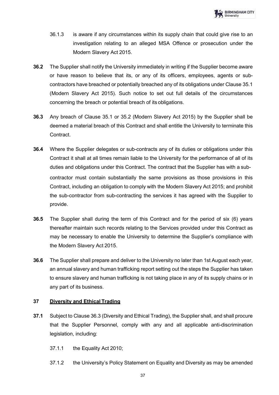- 36.1.3 is aware if any circumstances within its supply chain that could give rise to an investigation relating to an alleged MSA Offence or prosecution under the Modern Slavery Act 2015.
- **36.2** The Supplier shall notify the University immediately in writing if the Supplier become aware or have reason to believe that its, or any of its officers, employees, agents or subcontractors have breached or potentially breached any of its obligations under Clause 35.1 (Modern Slavery Act 2015). Such notice to set out full details of the circumstances concerning the breach or potential breach of its obligations.
- **36.3** Any breach of Clause 35.1 or 35.2 (Modern Slavery Act 2015) by the Supplier shall be deemed a material breach of this Contract and shall entitle the University to terminate this **Contract**
- **36.4** Where the Supplier delegates or sub-contracts any of its duties or obligations under this Contract it shall at all times remain liable to the University for the performance of all of its duties and obligations under this Contract. The contract that the Supplier has with a subcontractor must contain substantially the same provisions as those provisions in this Contract, including an obligation to comply with the Modern Slavery Act 2015; and prohibit the sub-contractor from sub-contracting the services it has agreed with the Supplier to provide.
- **36.5** The Supplier shall during the term of this Contract and for the period of six (6) years thereafter maintain such records relating to the Services provided under this Contract as may be necessary to enable the University to determine the Supplier's compliance with the Modern Slavery Act 2015.
- **36.6** The Supplier shall prepare and deliver to the University no later than 1st August each year, an annual slavery and human trafficking report setting out the steps the Supplier has taken to ensure slavery and human trafficking is not taking place in any of its supply chains or in any part of its business.

# **37 Diversity and Ethical Trading**

- **37.1** Subject to Clause 36.3 (Diversity and Ethical Trading), the Supplier shall, and shall procure that the Supplier Personnel, comply with any and all applicable anti-discrimination legislation, including:
	- 37.1.1 the Equality Act 2010;
	- 37.1.2 the University's Policy Statement on Equality and Diversity as may be amended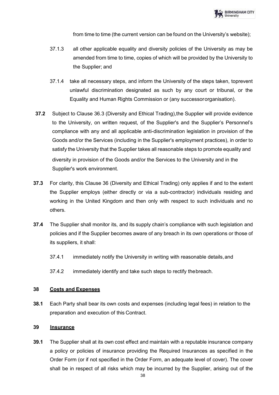from time to time (the current version can be found on the University's website);

- 37.1.3 all other applicable equality and diversity policies of the University as may be amended from time to time, copies of which will be provided by the University to the Supplier; and
- 37.1.4 take all necessary steps, and inform the University of the steps taken, toprevent unlawful discrimination designated as such by any court or tribunal, or the Equality and Human Rights Commission or (any successororganisation).
- **37.2** Subject to Clause 36.3 (Diversity and Ethical Trading),the Supplier will provide evidence to the University, on written request, of the Supplier's and the Supplier's Personnel's compliance with any and all applicable anti-discrimination legislation in provision of the Goods and/or the Services (including in the Supplier's employment practices), in order to satisfy the University that the Supplier takes all reasonable steps to promote equality and diversity in provision of the Goods and/or the Services to the University and in the Supplier's work environment.
- **37.3** For clarity, this Clause 36 (Diversity and Ethical Trading) only applies if and to the extent the Supplier employs (either directly or via a sub-contractor) individuals residing and working in the United Kingdom and then only with respect to such individuals and no others.
- **37.4** The Supplier shall monitor its, and its supply chain's compliance with such legislation and policies and if the Supplier becomes aware of any breach in its own operations or those of its suppliers, it shall:
	- 37.4.1 immediately notify the University in writing with reasonable details, and
	- 37.4.2 immediately identify and take such steps to rectify thebreach.

## **38 Costs and Expenses**

**38.1** Each Party shall bear its own costs and expenses (including legal fees) in relation to the preparation and execution of this Contract.

#### **39 Insurance**

**39.1** The Supplier shall at its own cost effect and maintain with a reputable insurance company a policy or policies of insurance providing the Required Insurances as specified in the Order Form (or if not specified in the Order Form, an adequate level of cover). The cover shall be in respect of all risks which may be incurred by the Supplier, arising out of the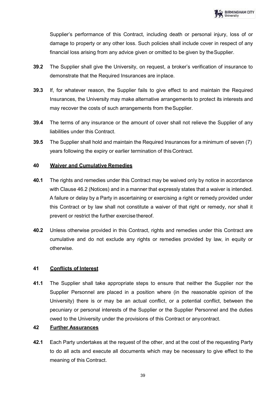Supplier's performance of this Contract, including death or personal injury, loss of or damage to property or any other loss. Such policies shall include cover in respect of any financial loss arising from any advice given or omitted to be given by theSupplier.

- **39.2** The Supplier shall give the University, on request, a broker's verification of insurance to demonstrate that the Required Insurances are inplace.
- **39.3** If, for whatever reason, the Supplier fails to give effect to and maintain the Required Insurances, the University may make alternative arrangements to protect its interests and may recover the costs of such arrangements from theSupplier.
- **39.4** The terms of any insurance or the amount of cover shall not relieve the Supplier of any liabilities under this Contract.
- **39.5** The Supplier shall hold and maintain the Required Insurances for a minimum of seven (7) years following the expiry or earlier termination of thisContract.

## **40 Waiver and Cumulative Remedies**

- **40.1** The rights and remedies under this Contract may be waived only by notice in accordance with Clause 46.2 (Notices) and in a manner that expressly states that a waiver is intended. A failure or delay by a Party in ascertaining or exercising a right or remedy provided under this Contract or by law shall not constitute a waiver of that right or remedy, nor shall it prevent or restrict the further exercise thereof.
- **40.2** Unless otherwise provided in this Contract, rights and remedies under this Contract are cumulative and do not exclude any rights or remedies provided by law, in equity or otherwise.

# **41 Conflicts of Interest**

**41.1** The Supplier shall take appropriate steps to ensure that neither the Supplier nor the Supplier Personnel are placed in a position where (in the reasonable opinion of the University) there is or may be an actual conflict, or a potential conflict, between the pecuniary or personal interests of the Supplier or the Supplier Personnel and the duties owed to the University under the provisions of this Contract or anycontract.

# **42 Further Assurances**

**42.1** Each Party undertakes at the request of the other, and at the cost of the requesting Party to do all acts and execute all documents which may be necessary to give effect to the meaning of this Contract.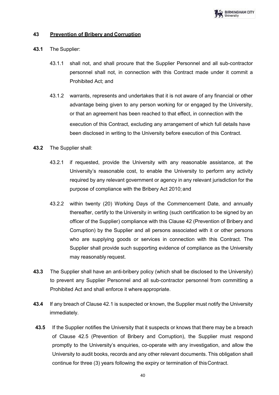

## **43 Prevention of Bribery and Corruption**

- **43.1** The Supplier:
	- 43.1.1 shall not, and shall procure that the Supplier Personnel and all sub-contractor personnel shall not, in connection with this Contract made under it commit a Prohibited Act; and
	- 43.1.2 warrants, represents and undertakes that it is not aware of any financial or other advantage being given to any person working for or engaged by the University, or that an agreement has been reached to that effect, in connection with the execution of this Contract, excluding any arrangement of which full details have been disclosed in writing to the University before execution of this Contract.
- **43.2** The Supplier shall:
	- 43.2.1 if requested, provide the University with any reasonable assistance, at the University's reasonable cost, to enable the University to perform any activity required by any relevant government or agency in any relevant jurisdiction for the purpose of compliance with the Bribery Act 2010; and
	- 43.2.2 within twenty (20) Working Days of the Commencement Date, and annually thereafter, certify to the University in writing (such certification to be signed by an officer of the Supplier) compliance with this Clause 42 (Prevention of Bribery and Corruption) by the Supplier and all persons associated with it or other persons who are supplying goods or services in connection with this Contract. The Supplier shall provide such supporting evidence of compliance as the University may reasonably request.
- **43.3** The Supplier shall have an anti-bribery policy (which shall be disclosed to the University) to prevent any Supplier Personnel and all sub-contractor personnel from committing a Prohibited Act and shall enforce it where appropriate.
- **43.4** If any breach of Clause 42.1 is suspected or known, the Supplier must notify the University immediately.
- **43.5** If the Supplier notifies the University that it suspects or knows that there may be a breach of Clause 42.5 (Prevention of Bribery and Corruption), the Supplier must respond promptly to the University's enquiries, co-operate with any investigation, and allow the University to audit books, records and any other relevant documents. This obligation shall continue for three (3) years following the expiry or termination of thisContract.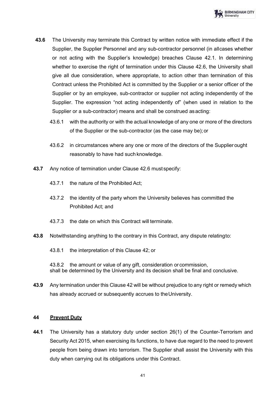

- **43.6** The University may terminate this Contract by written notice with immediate effect if the Supplier, the Supplier Personnel and any sub-contractor personnel (in allcases whether or not acting with the Supplier's knowledge) breaches Clause 42.1. In determining whether to exercise the right of termination under this Clause 42.6, the University shall give all due consideration, where appropriate, to action other than termination of this Contract unless the Prohibited Act is committed by the Supplier or a senior officer of the Supplier or by an employee, sub-contractor or supplier not acting independently of the Supplier. The expression "not acting independently of" (when used in relation to the Supplier or a sub-contractor) means and shall be construed as acting:
	- 43.6.1 with the authority or with the actual knowledge of any one or more of the directors of the Supplier or the sub-contractor (as the case may be);or
	- 43.6.2 in circumstances where any one or more of the directors of the Supplierought reasonably to have had such knowledge.
- **43.7** Any notice of termination under Clause 42.6 must specify:
	- 43.7.1 the nature of the Prohibited Act;
	- 43.7.2 the identity of the party whom the University believes has committed the Prohibited Act; and
	- 43.7.3 the date on which this Contract will terminate.
- **43.8** Notwithstanding anything to the contrary in this Contract, any dispute relatingto:
	- 43.8.1 the interpretation of this Clause 42; or

43.8.2 the amount or value of any gift, consideration or commission, shall be determined by the University and its decision shall be final and conclusive.

**43.9** Any termination under this Clause 42 will be without prejudice to any right or remedy which has already accrued or subsequently accrues to theUniversity.

#### **44 Prevent Duty**

**44.1** The University has a statutory duty under section 26(1) of the Counter-Terrorism and Security Act 2015, when exercising its functions, to have due regard to the need to prevent people from being drawn into terrorism. The Supplier shall assist the University with this duty when carrying out its obligations under this Contract.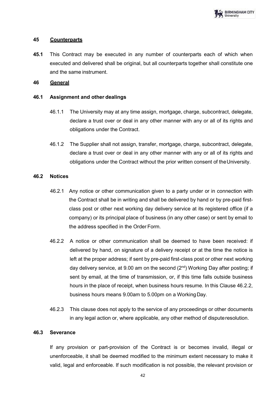## **45 Counterparts**

**45.1** This Contract may be executed in any number of counterparts each of which when executed and delivered shall be original, but all counterparts together shall constitute one and the same instrument.

# **46 General**

# **46.1 Assignment and other dealings**

- 46.1.1 The University may at any time assign, mortgage, charge, subcontract, delegate, declare a trust over or deal in any other manner with any or all of its rights and obligations under the Contract.
- 46.1.2 The Supplier shall not assign, transfer, mortgage, charge, subcontract, delegate, declare a trust over or deal in any other manner with any or all of its rights and obligations under the Contract without the prior written consent of theUniversity.

# **46.2 Notices**

- 46.2.1 Any notice or other communication given to a party under or in connection with the Contract shall be in writing and shall be delivered by hand or by pre-paid firstclass post or other next working day delivery service at its registered office (if a company) or its principal place of business (in any other case) or sent by email to the address specified in the Order Form.
- 46.2.2 A notice or other communication shall be deemed to have been received: if delivered by hand, on signature of a delivery receipt or at the time the notice is left at the proper address; if sent by pre-paid first-class post or other next working day delivery service, at 9.00 am on the second  $(2<sup>nd</sup>)$  Working Day after posting; if sent by email, at the time of transmission, or, if this time falls outside business hours in the place of receipt, when business hours resume. In this Clause 46.2.2, business hours means 9.00am to 5.00pm on a WorkingDay.
- 46.2.3 This clause does not apply to the service of any proceedings or other documents in any legal action or, where applicable, any other method of disputeresolution.

## **46.3 Severance**

If any provision or part-provision of the Contract is or becomes invalid, illegal or unenforceable, it shall be deemed modified to the minimum extent necessary to make it valid, legal and enforceable. If such modification is not possible, the relevant provision or